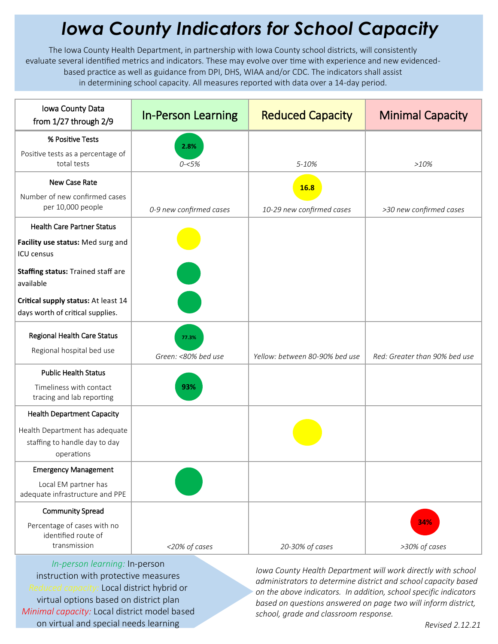## *Iowa County Indicators for School Capacity*

The Iowa County Health Department, in partnership with Iowa County school districts, will consistently evaluate several identified metrics and indicators. These may evolve over time with experience and new evidencedbased practice as well as guidance from DPI, DHS, WIAA and/or CDC. The indicators shall assist in determining school capacity. All measures reported with data over a 14-day period.

| Iowa County Data<br>from 1/27 through 2/9                                                                                               | <b>In-Person Learning</b>    | <b>Reduced Capacity</b>                  | <b>Minimal Capacity</b>       |
|-----------------------------------------------------------------------------------------------------------------------------------------|------------------------------|------------------------------------------|-------------------------------|
| % Positive Tests<br>Positive tests as a percentage of<br>total tests                                                                    | 2.8%<br>$0 - 5%$             | 5-10%                                    | $>10\%$                       |
| New Case Rate<br>Number of new confirmed cases<br>per 10,000 people                                                                     | 0-9 new confirmed cases      | <b>16.8</b><br>10-29 new confirmed cases | >30 new confirmed cases       |
| <b>Health Care Partner Status</b><br>Facility use status: Med surg and<br>ICU census<br>Staffing status: Trained staff are<br>available |                              |                                          |                               |
| Critical supply status: At least 14<br>days worth of critical supplies.                                                                 |                              |                                          |                               |
| <b>Regional Health Care Status</b><br>Regional hospital bed use                                                                         | 77.3%<br>Green: <80% bed use | Yellow: between 80-90% bed use           | Red: Greater than 90% bed use |
| <b>Public Health Status</b><br>Timeliness with contact<br>tracing and lab reporting                                                     | 93%                          |                                          |                               |
| <b>Health Department Capacity</b>                                                                                                       |                              |                                          |                               |
| Health Department has adequate<br>staffing to handle day to day<br>operations                                                           |                              |                                          |                               |
| <b>Emergency Management</b>                                                                                                             |                              |                                          |                               |
| Local EM partner has<br>adequate infrastructure and PPE                                                                                 |                              |                                          |                               |
| <b>Community Spread</b>                                                                                                                 |                              |                                          |                               |
| Percentage of cases with no<br>identified route of<br>transmission                                                                      | <20% of cases                | 20-30% of cases                          | 34%<br>>30% of cases          |

*In-person learning:* In-person instruction with protective measures *Reduced capacity:* Local district hybrid or virtual options based on district plan *Minimal capacity:* Local district model based on virtual and special needs learning

*Iowa County Health Department will work directly with school administrators to determine district and school capacity based on the above indicators. In addition, school specific indicators based on questions answered on page two will inform district, school, grade and classroom response.*